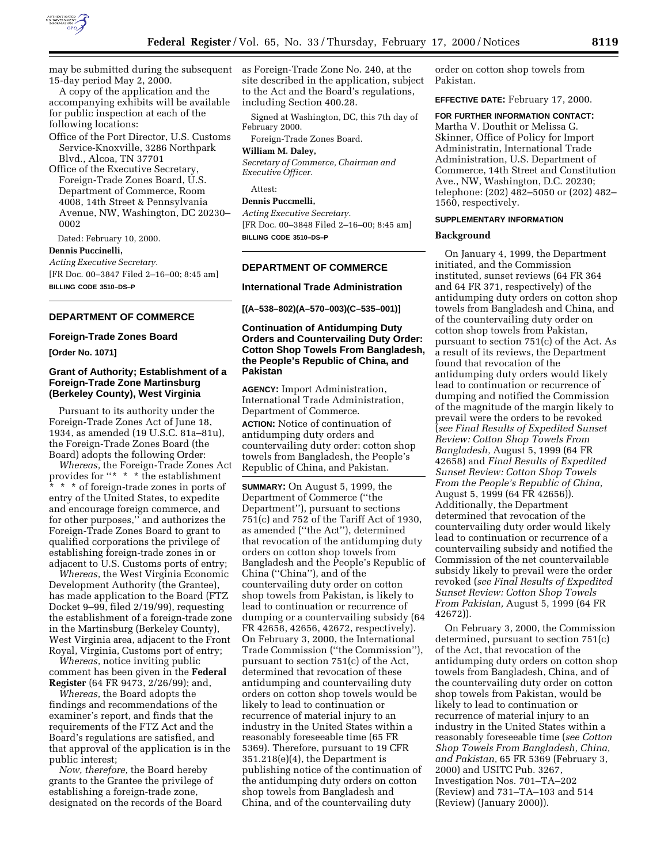

may be submitted during the subsequent 15-day period May 2, 2000.

A copy of the application and the accompanying exhibits will be available for public inspection at each of the following locations:

Office of the Port Director, U.S. Customs Service-Knoxville, 3286 Northpark Blvd., Alcoa, TN 37701

Office of the Executive Secretary, Foreign-Trade Zones Board, U.S. Department of Commerce, Room 4008, 14th Street & Pennsylvania Avenue, NW, Washington, DC 20230– 0002

Dated: February 10, 2000.

## **Dennis Puccinelli,**

*Acting Executive Secretary.* [FR Doc. 00–3847 Filed 2–16–00; 8:45 am] **BILLING CODE 3510–DS–P**

## **DEPARTMENT OF COMMERCE**

#### **Foreign-Trade Zones Board**

**[Order No. 1071]**

# **Grant of Authority; Establishment of a Foreign-Trade Zone Martinsburg (Berkeley County), West Virginia**

Pursuant to its authority under the Foreign-Trade Zones Act of June 18, 1934, as amended (19 U.S.C. 81a–81u), the Foreign-Trade Zones Board (the Board) adopts the following Order:

*Whereas,* the Foreign-Trade Zones Act provides for ''\* \* \* the establishment \* \* \* of foreign-trade zones in ports of entry of the United States, to expedite and encourage foreign commerce, and for other purposes,'' and authorizes the Foreign-Trade Zones Board to grant to qualified corporations the privilege of establishing foreign-trade zones in or adjacent to U.S. Customs ports of entry;

*Whereas,* the West Virginia Economic Development Authority (the Grantee), has made application to the Board (FTZ Docket 9–99, filed 2/19/99), requesting the establishment of a foreign-trade zone in the Martinsburg (Berkeley County), West Virginia area, adjacent to the Front Royal, Virginia, Customs port of entry;

*Whereas,* notice inviting public comment has been given in the **Federal Register** (64 FR 9473, 2/26/99); and,

*Whereas,* the Board adopts the findings and recommendations of the examiner's report, and finds that the requirements of the FTZ Act and the Board's regulations are satisfied, and that approval of the application is in the public interest;

*Now, therefore,* the Board hereby grants to the Grantee the privilege of establishing a foreign-trade zone, designated on the records of the Board as Foreign-Trade Zone No. 240, at the site described in the application, subject to the Act and the Board's regulations, including Section 400.28.

Signed at Washington, DC, this 7th day of February 2000.

Foreign-Trade Zones Board.

# **William M. Daley,**

*Secretary of Commerce, Chairman and Executive Officer.*

Attest:

# **Dennis Puccmelli,**

*Acting Executive Secretary.* [FR Doc. 00–3848 Filed 2–16–00; 8:45 am] **BILLING CODE 3510–DS–P**

#### **DEPARTMENT OF COMMERCE**

#### **International Trade Administration**

**[(A–538–802)(A–570–003)(C–535–001)]**

# **Continuation of Antidumping Duty Orders and Countervailing Duty Order: Cotton Shop Towels From Bangladesh, the People's Republic of China, and Pakistan**

**AGENCY:** Import Administration, International Trade Administration, Department of Commerce.

**ACTION:** Notice of continuation of antidumping duty orders and countervailing duty order: cotton shop towels from Bangladesh, the People's Republic of China, and Pakistan.

**SUMMARY:** On August 5, 1999, the Department of Commerce (''the Department''), pursuant to sections 751(c) and 752 of the Tariff Act of 1930, as amended (''the Act''), determined that revocation of the antidumping duty orders on cotton shop towels from Bangladesh and the People's Republic of China (''China''), and of the countervailing duty order on cotton shop towels from Pakistan, is likely to lead to continuation or recurrence of dumping or a countervailing subsidy (64 FR 42658, 42656, 42672, respectively). On February 3, 2000, the International Trade Commission (''the Commission''), pursuant to section 751(c) of the Act, determined that revocation of these antidumping and countervailing duty orders on cotton shop towels would be likely to lead to continuation or recurrence of material injury to an industry in the United States within a reasonably foreseeable time (65 FR 5369). Therefore, pursuant to 19 CFR 351.218(e)(4), the Department is publishing notice of the continuation of the antidumping duty orders on cotton shop towels from Bangladesh and China, and of the countervailing duty

order on cotton shop towels from Pakistan.

**EFFECTIVE DATE:** February 17, 2000.

#### **FOR FURTHER INFORMATION CONTACT:**

Martha V. Douthit or Melissa G. Skinner, Office of Policy for Import Administratin, International Trade Administration, U.S. Department of Commerce, 14th Street and Constitution Ave., NW, Washington, D.C. 20230; telephone: (202) 482–5050 or (202) 482– 1560, respectively.

#### **SUPPLEMENTARY INFORMATION**

#### **Background**

On January 4, 1999, the Department initiated, and the Commission instituted, sunset reviews (64 FR 364 and 64 FR 371, respectively) of the antidumping duty orders on cotton shop towels from Bangladesh and China, and of the countervailing duty order on cotton shop towels from Pakistan, pursuant to section 751(c) of the Act. As a result of its reviews, the Department found that revocation of the antidumping duty orders would likely lead to continuation or recurrence of dumping and notified the Commission of the magnitude of the margin likely to prevail were the orders to be revoked (*see Final Results of Expedited Sunset Review: Cotton Shop Towels From Bangladesh,* August 5, 1999 (64 FR 42658) and *Final Results of Expedited Sunset Review: Cotton Shop Towels From the People's Republic of China,* August 5, 1999 (64 FR 42656)). Additionally, the Department determined that revocation of the countervailing duty order would likely lead to continuation or recurrence of a countervailing subsidy and notified the Commission of the net countervailable subsidy likely to prevail were the order revoked (*see Final Results of Expedited Sunset Review: Cotton Shop Towels From Pakistan,* August 5, 1999 (64 FR 42672)).

On February 3, 2000, the Commission determined, pursuant to section 751(c) of the Act, that revocation of the antidumping duty orders on cotton shop towels from Bangladesh, China, and of the countervailing duty order on cotton shop towels from Pakistan, would be likely to lead to continuation or recurrence of material injury to an industry in the United States within a reasonably foreseeable time (*see Cotton Shop Towels From Bangladesh, China, and Pakistan,* 65 FR 5369 (February 3, 2000) and USITC Pub. 3267, Investigation Nos. 701–TA–202 (Review) and 731–TA–103 and 514 (Review) (January 2000)).